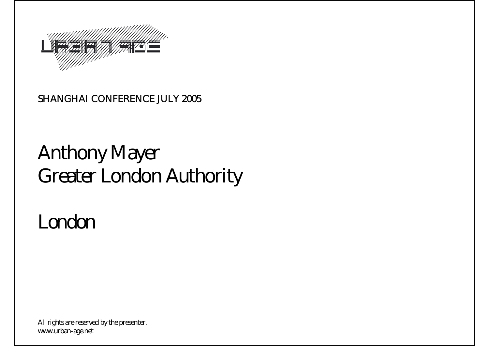

#### SHANGHAI CONFERENCE JULY 2005

### Anthony Mayer Greater London Authority

### *London*

All rights are reserved by the presenter. www.urban-age.net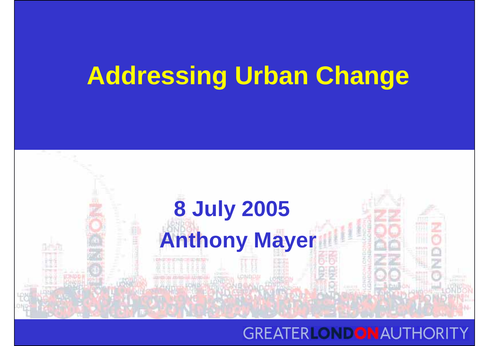# **Addressing Urban Change**

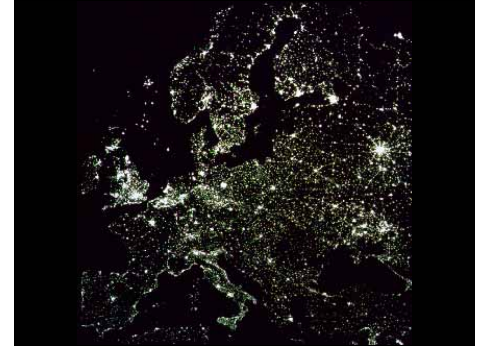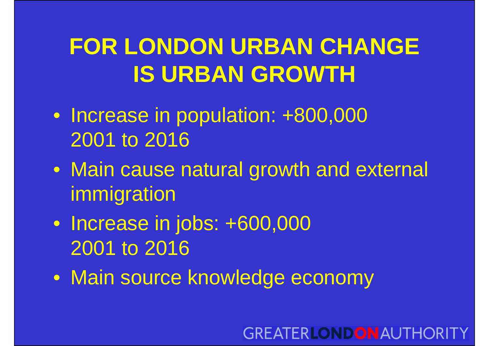## **FOR LONDON URBAN CHANGE IS URBAN GROWTH**

- Increase in population: +800,000 2001 to 2016
- Main cause natural growth and external immigration
- Increase in jobs: +600,000 2001 to 2016
- Main source knowledge economy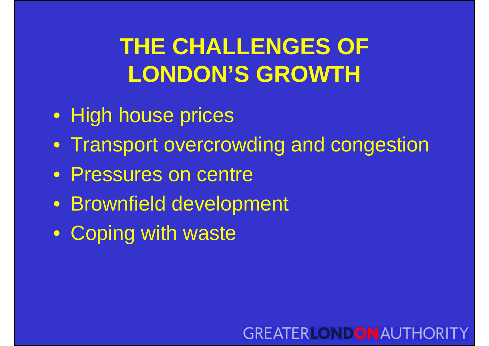## **THE CHALLENGES OF LONDON'S GROWTH**

- High house prices
- Transport overcrowding and congestion
- Pressures on centre
- Brownfield development
- Coping with waste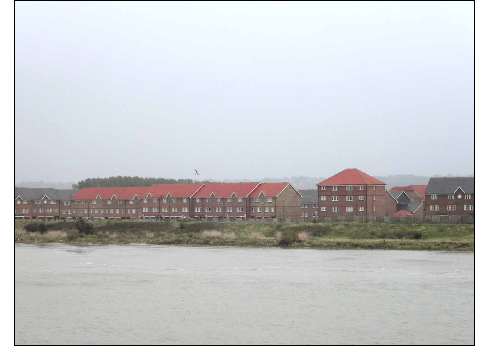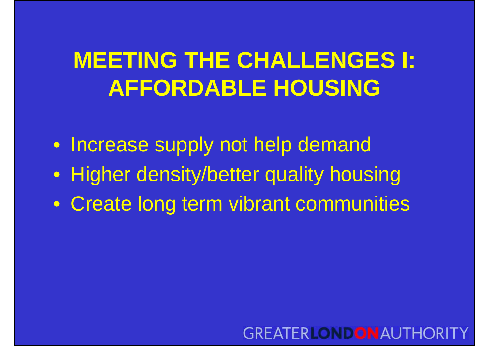### **MEETING THE CHALLENGES I: AFFORDABLE HOUSING**

- Increase supply not help demand
- Higher density/better quality housing
- Create long term vibrant communities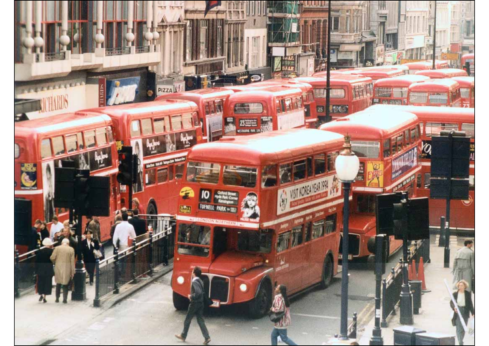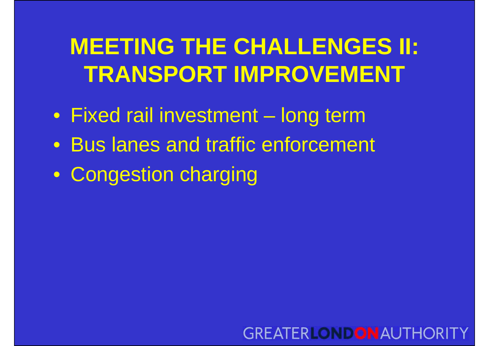### **MEETING THE CHALLENGES II: TRANSPORT IMPROVEMENT**

- Fixed rail investment long term
- Bus lanes and traffic enforcement
- Congestion charging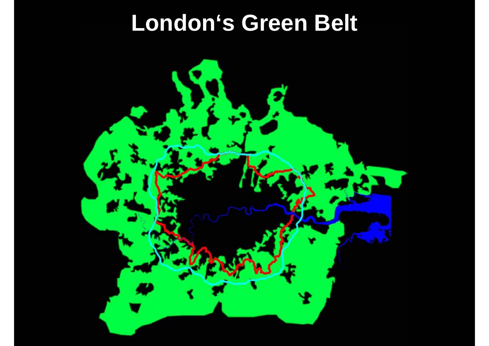## **London's Green Belt**

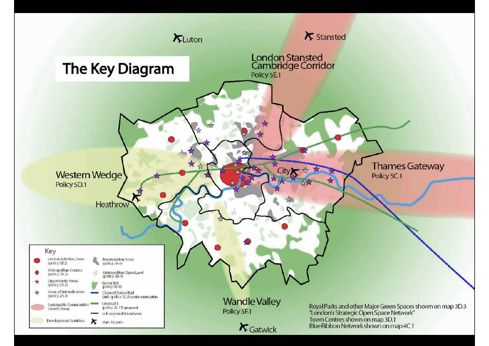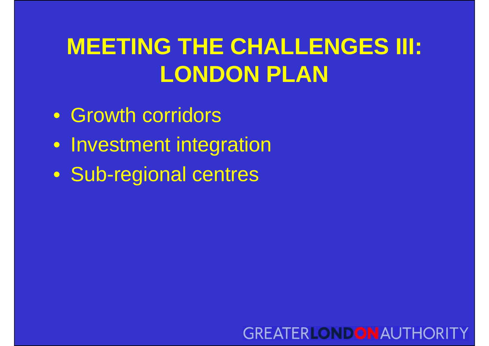## **MEETING THE CHALLENGES III: LONDON PLAN**

- Growth corridors
- Investment integration
- Sub-regional centres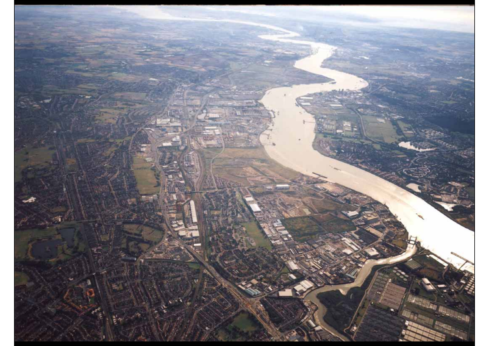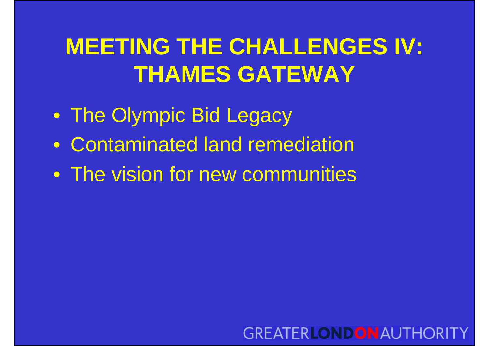### **MEETING THE CHALLENGES IV: THAMES GATEWAY**

- The Olympic Bid Legacy
- Contaminated land remediation
- The vision for new communities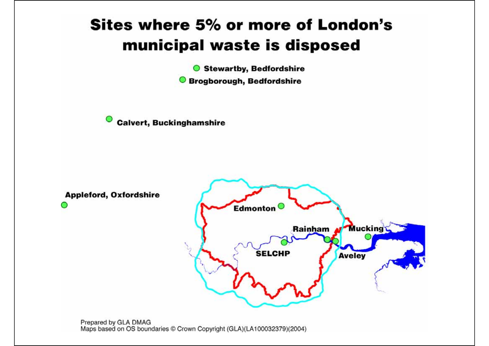#### Sites where 5% or more of London's municipal waste is disposed

Stewartby, Bedfordshire

**Brogborough, Bedfordshire** 



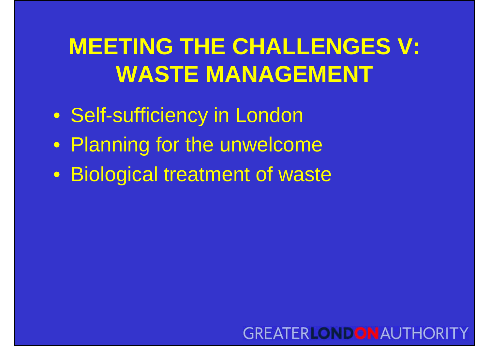### **MEETING THE CHALLENGES V: WASTE MANAGEMENT**

- Self-sufficiency in London
- Planning for the unwelcome
- Biological treatment of waste